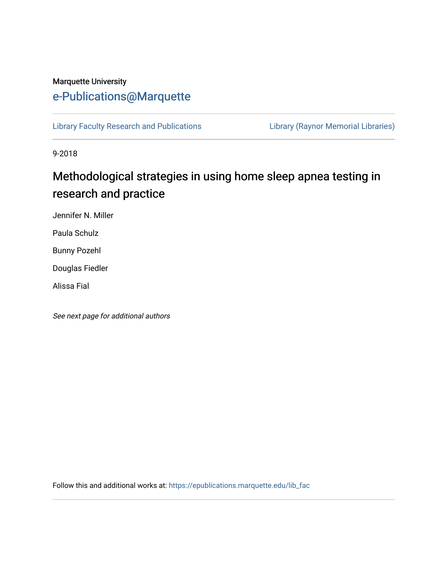# Marquette University [e-Publications@Marquette](https://epublications.marquette.edu/)

[Library Faculty Research and Publications](https://epublications.marquette.edu/lib_fac) [Library \(Raynor Memorial Libraries\)](https://epublications.marquette.edu/library) 

9-2018

# Methodological strategies in using home sleep apnea testing in research and practice

Jennifer N. Miller

Paula Schulz

Bunny Pozehl

Douglas Fiedler

Alissa Fial

See next page for additional authors

Follow this and additional works at: [https://epublications.marquette.edu/lib\\_fac](https://epublications.marquette.edu/lib_fac?utm_source=epublications.marquette.edu%2Flib_fac%2F106&utm_medium=PDF&utm_campaign=PDFCoverPages)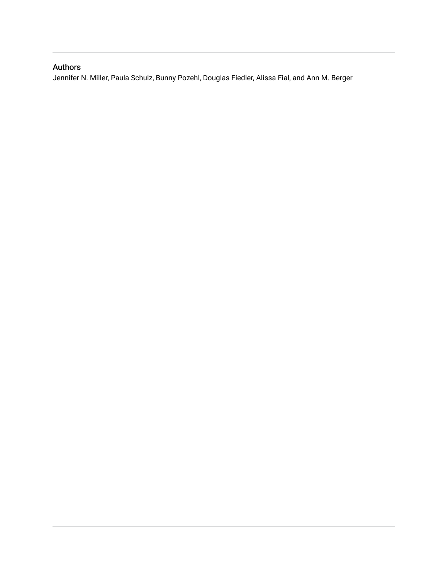#### Authors

Jennifer N. Miller, Paula Schulz, Bunny Pozehl, Douglas Fiedler, Alissa Fial, and Ann M. Berger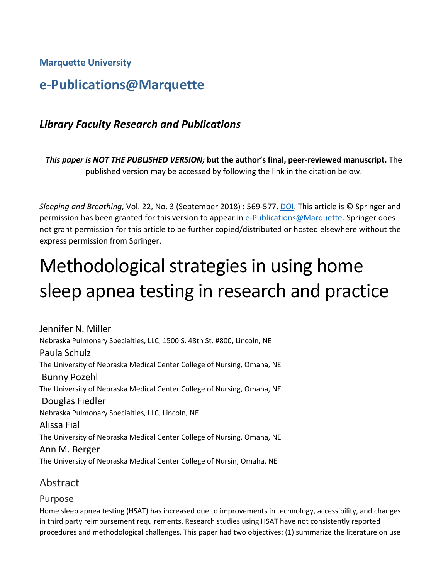**Marquette University**

# **e-Publications@Marquette**

# *Library Faculty Research and Publications*

*This paper is NOT THE PUBLISHED VERSION;* **but the author's final, peer-reviewed manuscript.** The published version may be accessed by following the link in the citation below.

*Sleeping and Breathing*, Vol. 22, No. 3 (September 2018) : 569-577. [DOI.](https://link.springer.com/article/10.1007%2Fs11325-017-1593-3) This article is © Springer and permission has been granted for this version to appear in [e-Publications@Marquette.](http://epublications.marquette.edu/) Springer does not grant permission for this article to be further copied/distributed or hosted elsewhere without the express permission from Springer.

# Methodological strategies in using home sleep apnea testing in research and practice

Jennifer N. Miller Nebraska Pulmonary Specialties, LLC, 1500 S. 48th St. #800, Lincoln, NE Paula Schulz The University of Nebraska Medical Center College of Nursing, Omaha, NE Bunny Pozehl The University of Nebraska Medical Center College of Nursing, Omaha, NE Douglas Fiedler Nebraska Pulmonary Specialties, LLC, Lincoln, NE Alissa Fial The University of Nebraska Medical Center College of Nursing, Omaha, NE Ann M. Berger The University of Nebraska Medical Center College of Nursin, Omaha, NE

# Abstract

## Purpose

Home sleep apnea testing (HSAT) has increased due to improvements in technology, accessibility, and changes in third party reimbursement requirements. Research studies using HSAT have not consistently reported procedures and methodological challenges. This paper had two objectives: (1) summarize the literature on use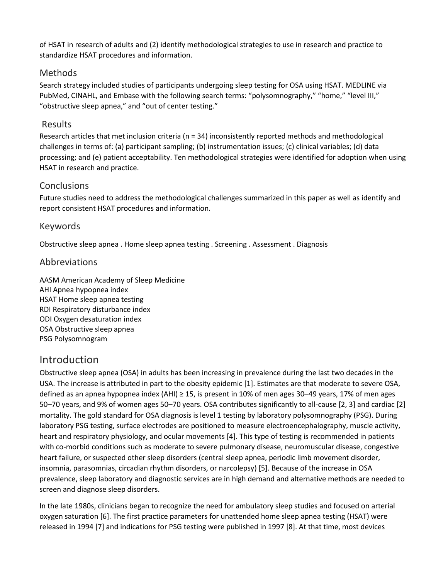of HSAT in research of adults and (2) identify methodological strategies to use in research and practice to standardize HSAT procedures and information.

## Methods

Search strategy included studies of participants undergoing sleep testing for OSA using HSAT. MEDLINE via PubMed, CINAHL, and Embase with the following search terms: "polysomnography," "home," "level III," "obstructive sleep apnea," and "out of center testing."

# Results

Research articles that met inclusion criteria ( $n = 34$ ) inconsistently reported methods and methodological challenges in terms of: (a) participant sampling; (b) instrumentation issues; (c) clinical variables; (d) data processing; and (e) patient acceptability. Ten methodological strategies were identified for adoption when using HSAT in research and practice.

# **Conclusions**

Future studies need to address the methodological challenges summarized in this paper as well as identify and report consistent HSAT procedures and information.

# Keywords

Obstructive sleep apnea . Home sleep apnea testing . Screening . Assessment . Diagnosis

# Abbreviations

AASM American Academy of Sleep Medicine AHI Apnea hypopnea index HSAT Home sleep apnea testing RDI Respiratory disturbance index ODI Oxygen desaturation index OSA Obstructive sleep apnea PSG Polysomnogram

# Introduction

Obstructive sleep apnea (OSA) in adults has been increasing in prevalence during the last two decades in the USA. The increase is attributed in part to the obesity epidemic [1]. Estimates are that moderate to severe OSA, defined as an apnea hypopnea index (AHI) ≥ 15, is present in 10% of men ages 30–49 years, 17% of men ages 50–70 years, and 9% of women ages 50–70 years. OSA contributes significantly to all-cause [2, 3] and cardiac [2] mortality. The gold standard for OSA diagnosis is level 1 testing by laboratory polysomnography (PSG). During laboratory PSG testing, surface electrodes are positioned to measure electroencephalography, muscle activity, heart and respiratory physiology, and ocular movements [4]. This type of testing is recommended in patients with co-morbid conditions such as moderate to severe pulmonary disease, neuromuscular disease, congestive heart failure, or suspected other sleep disorders (central sleep apnea, periodic limb movement disorder, insomnia, parasomnias, circadian rhythm disorders, or narcolepsy) [5]. Because of the increase in OSA prevalence, sleep laboratory and diagnostic services are in high demand and alternative methods are needed to screen and diagnose sleep disorders.

In the late 1980s, clinicians began to recognize the need for ambulatory sleep studies and focused on arterial oxygen saturation [6]. The first practice parameters for unattended home sleep apnea testing (HSAT) were released in 1994 [7] and indications for PSG testing were published in 1997 [8]. At that time, most devices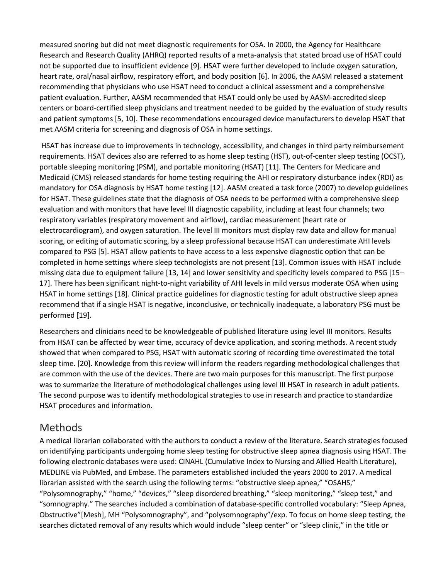measured snoring but did not meet diagnostic requirements for OSA. In 2000, the Agency for Healthcare Research and Research Quality (AHRQ) reported results of a meta-analysis that stated broad use of HSAT could not be supported due to insufficient evidence [9]. HSAT were further developed to include oxygen saturation, heart rate, oral/nasal airflow, respiratory effort, and body position [6]. In 2006, the AASM released a statement recommending that physicians who use HSAT need to conduct a clinical assessment and a comprehensive patient evaluation. Further, AASM recommended that HSAT could only be used by AASM-accredited sleep centers or board-certified sleep physicians and treatment needed to be guided by the evaluation of study results and patient symptoms [5, 10]. These recommendations encouraged device manufacturers to develop HSAT that met AASM criteria for screening and diagnosis of OSA in home settings.

HSAT has increase due to improvements in technology, accessibility, and changes in third party reimbursement requirements. HSAT devices also are referred to as home sleep testing (HST), out-of-center sleep testing (OCST), portable sleeping monitoring (PSM), and portable monitoring (HSAT) [11]. The Centers for Medicare and Medicaid (CMS) released standards for home testing requiring the AHI or respiratory disturbance index (RDI) as mandatory for OSA diagnosis by HSAT home testing [12]. AASM created a task force (2007) to develop guidelines for HSAT. These guidelines state that the diagnosis of OSA needs to be performed with a comprehensive sleep evaluation and with monitors that have level III diagnostic capability, including at least four channels; two respiratory variables (respiratory movement and airflow), cardiac measurement (heart rate or electrocardiogram), and oxygen saturation. The level III monitors must display raw data and allow for manual scoring, or editing of automatic scoring, by a sleep professional because HSAT can underestimate AHI levels compared to PSG [5]. HSAT allow patients to have access to a less expensive diagnostic option that can be completed in home settings where sleep technologists are not present [13]. Common issues with HSAT include missing data due to equipment failure [13, 14] and lower sensitivity and specificity levels compared to PSG [15– 17]. There has been significant night-to-night variability of AHI levels in mild versus moderate OSA when using HSAT in home settings [18]. Clinical practice guidelines for diagnostic testing for adult obstructive sleep apnea recommend that if a single HSAT is negative, inconclusive, or technically inadequate, a laboratory PSG must be performed [19].

Researchers and clinicians need to be knowledgeable of published literature using level III monitors. Results from HSAT can be affected by wear time, accuracy of device application, and scoring methods. A recent study showed that when compared to PSG, HSAT with automatic scoring of recording time overestimated the total sleep time. [20]. Knowledge from this review will inform the readers regarding methodological challenges that are common with the use of the devices. There are two main purposes for this manuscript. The first purpose was to summarize the literature of methodological challenges using level III HSAT in research in adult patients. The second purpose was to identify methodological strategies to use in research and practice to standardize HSAT procedures and information.

# Methods

A medical librarian collaborated with the authors to conduct a review of the literature. Search strategies focused on identifying participants undergoing home sleep testing for obstructive sleep apnea diagnosis using HSAT. The following electronic databases were used: CINAHL (Cumulative Index to Nursing and Allied Health Literature), MEDLINE via PubMed, and Embase. The parameters established included the years 2000 to 2017. A medical librarian assisted with the search using the following terms: "obstructive sleep apnea," "OSAHS," "Polysomnography," "home," "devices," "sleep disordered breathing," "sleep monitoring," "sleep test," and "somnography." The searches included a combination of database-specific controlled vocabulary: "Sleep Apnea, Obstructive"[Mesh], MH "Polysomnography", and "polysomnography"/exp. To focus on home sleep testing, the searches dictated removal of any results which would include "sleep center" or "sleep clinic," in the title or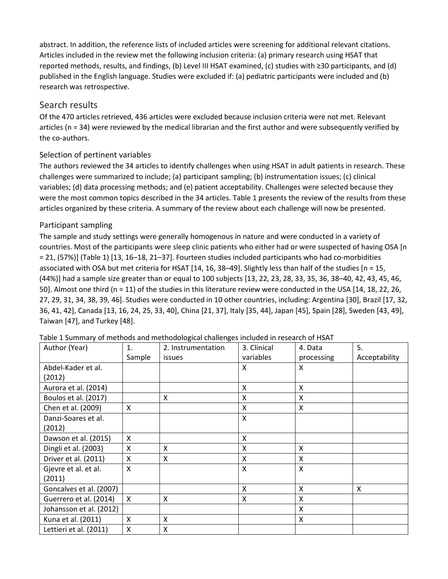abstract. In addition, the reference lists of included articles were screening for additional relevant citations. Articles included in the review met the following inclusion criteria: (a) primary research using HSAT that reported methods, results, and findings, (b) Level III HSAT examined, (c) studies with ≥30 participants, and (d) published in the English language. Studies were excluded if: (a) pediatric participants were included and (b) research was retrospective.

# Search results

Of the 470 articles retrieved, 436 articles were excluded because inclusion criteria were not met. Relevant articles (n = 34) were reviewed by the medical librarian and the first author and were subsequently verified by the co-authors.

#### Selection of pertinent variables

The authors reviewed the 34 articles to identify challenges when using HSAT in adult patients in research. These challenges were summarized to include; (a) participant sampling; (b) instrumentation issues; (c) clinical variables; (d) data processing methods; and (e) patient acceptability. Challenges were selected because they were the most common topics described in the 34 articles. Table 1 presents the review of the results from these articles organized by these criteria. A summary of the review about each challenge will now be presented.

#### Participant sampling

The sample and study settings were generally homogenous in nature and were conducted in a variety of countries. Most of the participants were sleep clinic patients who either had or were suspected of having OSA [n = 21, (57%)] (Table 1) [13, 16–18, 21–37]. Fourteen studies included participants who had co-morbidities associated with OSA but met criteria for HSAT [14, 16, 38–49]. Slightly less than half of the studies [n = 15, (44%)] had a sample size greater than or equal to 100 subjects [13, 22, 23, 28, 33, 35, 36, 38–40, 42, 43, 45, 46, 50]. Almost one third (n = 11) of the studies in this literature review were conducted in the USA [14, 18, 22, 26, 27, 29, 31, 34, 38, 39, 46]. Studies were conducted in 10 other countries, including: Argentina [30], Brazil [17, 32, 36, 41, 42], Canada [13, 16, 24, 25, 33, 40], China [21, 37], Italy [35, 44], Japan [45], Spain [28], Sweden [43, 49], Taiwan [47], and Turkey [48].

| Author (Year)           | 1.           | 2. Instrumentation | 3. Clinical | 4. Data    | 5.            |
|-------------------------|--------------|--------------------|-------------|------------|---------------|
|                         | Sample       | <i>issues</i>      | variables   | processing | Acceptability |
| Abdel-Kader et al.      |              |                    | X           | X          |               |
| (2012)                  |              |                    |             |            |               |
| Aurora et al. (2014)    |              |                    | X           | X          |               |
| Boulos et al. (2017)    |              | X                  | X           | X          |               |
| Chen et al. (2009)      | X            |                    | Χ           | X          |               |
| Danzi-Soares et al.     |              |                    | X           |            |               |
| (2012)                  |              |                    |             |            |               |
| Dawson et al. (2015)    | X            |                    | X           |            |               |
| Dingli et al. (2003)    | X            | X                  | X           | X          |               |
| Driver et al. (2011)    | X            | X                  | X           | X          |               |
| Gjevre et al. et al.    | $\mathsf{X}$ |                    | X           | X          |               |
| (2011)                  |              |                    |             |            |               |
| Goncalves et al. (2007) |              |                    | X           | X          | X             |
| Guerrero et al. (2014)  | X            | X                  | X           | X          |               |
| Johansson et al. (2012) |              |                    |             | X          |               |
| Kuna et al. (2011)      | X            | X                  |             | X          |               |
| Lettieri et al. (2011)  | X            | X                  |             |            |               |

Table 1 Summary of methods and methodological challenges included in research of HSAT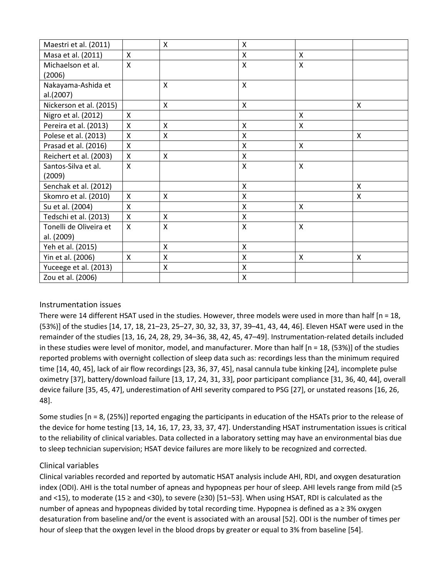| Maestri et al. (2011)   |                    | X            | Χ            |              |              |
|-------------------------|--------------------|--------------|--------------|--------------|--------------|
| Masa et al. (2011)      | X                  |              | X            | X            |              |
| Michaelson et al.       | $\pmb{\mathsf{X}}$ |              | $\mathsf{X}$ | X            |              |
| (2006)                  |                    |              |              |              |              |
| Nakayama-Ashida et      |                    | X            | $\mathsf{x}$ |              |              |
| al.(2007)               |                    |              |              |              |              |
| Nickerson et al. (2015) |                    | X            | X            |              | X            |
| Nigro et al. (2012)     | X                  |              |              | X            |              |
| Pereira et al. (2013)   | X                  | X            | Χ            | X            |              |
| Polese et al. (2013)    | X                  | X            | Χ            |              | X            |
| Prasad et al. (2016)    | $\mathsf{x}$       |              | X            | $\mathsf{x}$ |              |
| Reichert et al. (2003)  | X                  | X            | X            |              |              |
| Santos-Silva et al.     | $\mathsf{x}$       |              | X            | $\mathsf{x}$ |              |
| (2009)                  |                    |              |              |              |              |
| Senchak et al. (2012)   |                    |              | X            |              | $\mathsf{X}$ |
| Skomro et al. (2010)    | $\mathsf{x}$       | $\mathsf{X}$ | $\mathsf{x}$ |              | X            |
| Su et al. (2004)        | X                  |              | Χ            | X            |              |
| Tedschi et al. (2013)   | X                  | $\mathsf{X}$ | X            |              |              |
| Tonelli de Oliveira et  | X                  | X            | X            | X            |              |
| al. (2009)              |                    |              |              |              |              |
| Yeh et al. (2015)       |                    | X            | X            |              |              |
| Yin et al. (2006)       | X                  | X            | X            | X            | X            |
| Yuceege et al. (2013)   |                    | X            | X            |              |              |
| Zou et al. (2006)       |                    |              | Χ            |              |              |

#### Instrumentation issues

There were 14 different HSAT used in the studies. However, three models were used in more than half  $[n = 18,$ (53%)] of the studies [14, 17, 18, 21–23, 25–27, 30, 32, 33, 37, 39–41, 43, 44, 46]. Eleven HSAT were used in the remainder of the studies [13, 16, 24, 28, 29, 34–36, 38, 42, 45, 47–49]. Instrumentation-related details included in these studies were level of monitor, model, and manufacturer. More than half [n = 18, (53%)] of the studies reported problems with overnight collection of sleep data such as: recordings less than the minimum required time [14, 40, 45], lack of air flow recordings [23, 36, 37, 45], nasal cannula tube kinking [24], incomplete pulse oximetry [37], battery/download failure [13, 17, 24, 31, 33], poor participant compliance [31, 36, 40, 44], overall device failure [35, 45, 47], underestimation of AHI severity compared to PSG [27], or unstated reasons [16, 26, 48].

Some studies [n = 8, (25%)] reported engaging the participants in education of the HSATs prior to the release of the device for home testing [13, 14, 16, 17, 23, 33, 37, 47]. Understanding HSAT instrumentation issues is critical to the reliability of clinical variables. Data collected in a laboratory setting may have an environmental bias due to sleep technician supervision; HSAT device failures are more likely to be recognized and corrected.

#### Clinical variables

Clinical variables recorded and reported by automatic HSAT analysis include AHI, RDI, and oxygen desaturation index (ODI). AHI is the total number of apneas and hypopneas per hour of sleep. AHI levels range from mild (≥5 and <15), to moderate (15 ≥ and <30), to severe (≥30) [51–53]. When using HSAT, RDI is calculated as the number of apneas and hypopneas divided by total recording time. Hypopnea is defined as a ≥ 3% oxygen desaturation from baseline and/or the event is associated with an arousal [52]. ODI is the number of times per hour of sleep that the oxygen level in the blood drops by greater or equal to 3% from baseline [54].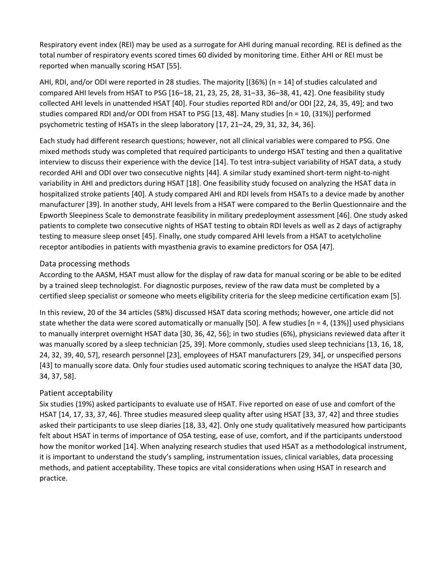Respiratory event index (REI) may be used as a surrogate for AHI during manual recording. REI is defined as the total number of respiratory events scored times 60 divided by monitoring time. Either AHI or REI must be reported when manually scoring HSAT [55].

AHI, RDI, and/or ODI were reported in 28 studies. The majority [(36%) (n = 14] of studies calculated and compared AHI levels from HSAT to PSG [16–18, 21, 23, 25, 28, 31–33, 36–38, 41, 42]. One feasibility study collected AHI levels in unattended HSAT [40]. Four studies reported RDI and/or ODI [22, 24, 35, 49]; and two studies compared RDI and/or ODI from HSAT to PSG [13, 48]. Many studies [n = 10, (31%)] performed psychometric testing of HSATs in the sleep laboratory [17, 21–24, 29, 31, 32, 34, 36].

Each study had different research questions; however, not all clinical variables were compared to PSG. One mixed methods study was completed that required participants to undergo HSAT testing and then a qualitative interview to discuss their experience with the device [14]. To test intra-subject variability of HSAT data, a study recorded AHI and ODI over two consecutive nights [44]. A similar study examined short-term night-to-night variability in AHI and predictors during HSAT [18]. One feasibility study focused on analyzing the HSAT data in hospitalized stroke patients [40]. A study compared AHI and RDI levels from HSATs to a device made by another manufacturer [39]. In another study, AHI levels from a HSAT were compared to the Berlin Questionnaire and the Epworth Sleepiness Scale to demonstrate feasibility in military predeployment assessment [46]. One study asked patients to complete two consecutive nights of HSAT testing to obtain RDI levels as well as 2 days of actigraphy testing to measure sleep onset [45]. Finally, one study compared AHI levels from a HSAT to acetylcholine receptor antibodies in patients with myasthenia gravis to examine predictors for OSA [47].

#### Data processing methods

According to the AASM, HSAT must allow for the display of raw data for manual scoring or be able to be edited by a trained sleep technologist. For diagnostic purposes, review of the raw data must be completed by a certified sleep specialist or someone who meets eligibility criteria for the sleep medicine certification exam [5].

In this review, 20 of the 34 articles (58%) discussed HSAT data scoring methods; however, one article did not state whether the data were scored automatically or manually [50]. A few studies [n = 4, (13%)] used physicians to manually interpret overnight HSAT data [30, 36, 42, 56]; in two studies (6%), physicians reviewed data after it was manually scored by a sleep technician [25, 39]. More commonly, studies used sleep technicians [13, 16, 18, 24, 32, 39, 40, 57], research personnel [23], employees of HSAT manufacturers [29, 34], or unspecified persons [43] to manually score data. Only four studies used automatic scoring techniques to analyze the HSAT data [30, 34, 37, 58].

#### Patient acceptability

Six studies (19%) asked participants to evaluate use of HSAT. Five reported on ease of use and comfort of the HSAT [14, 17, 33, 37, 46]. Three studies measured sleep quality after using HSAT [33, 37, 42] and three studies asked their participants to use sleep diaries [18, 33, 42]. Only one study qualitatively measured how participants felt about HSAT in terms of importance of OSA testing, ease of use, comfort, and if the participants understood how the monitor worked [14]. When analyzing research studies that used HSAT as a methodological instrument, it is important to understand the study's sampling, instrumentation issues, clinical variables, data processing methods, and patient acceptability. These topics are vital considerations when using HSAT in research and practice.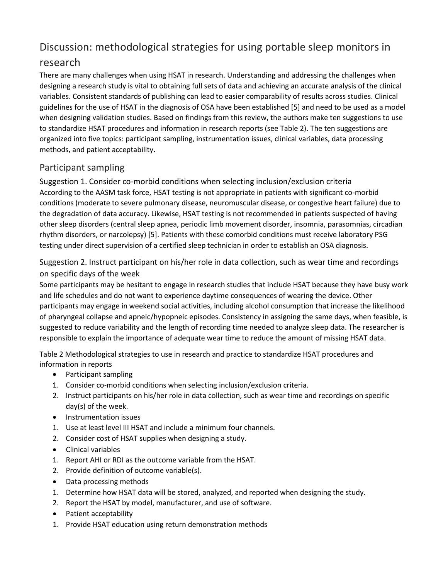# Discussion: methodological strategies for using portable sleep monitors in

# research

There are many challenges when using HSAT in research. Understanding and addressing the challenges when designing a research study is vital to obtaining full sets of data and achieving an accurate analysis of the clinical variables. Consistent standards of publishing can lead to easier comparability of results across studies. Clinical guidelines for the use of HSAT in the diagnosis of OSA have been established [5] and need to be used as a model when designing validation studies. Based on findings from this review, the authors make ten suggestions to use to standardize HSAT procedures and information in research reports (see Table 2). The ten suggestions are organized into five topics: participant sampling, instrumentation issues, clinical variables, data processing methods, and patient acceptability.

# Participant sampling

Suggestion 1. Consider co-morbid conditions when selecting inclusion/exclusion criteria According to the AASM task force, HSAT testing is not appropriate in patients with significant co-morbid conditions (moderate to severe pulmonary disease, neuromuscular disease, or congestive heart failure) due to the degradation of data accuracy. Likewise, HSAT testing is not recommended in patients suspected of having other sleep disorders (central sleep apnea, periodic limb movement disorder, insomnia, parasomnias, circadian rhythm disorders, or narcolepsy) [5]. Patients with these comorbid conditions must receive laboratory PSG testing under direct supervision of a certified sleep technician in order to establish an OSA diagnosis.

Suggestion 2. Instruct participant on his/her role in data collection, such as wear time and recordings on specific days of the week

Some participants may be hesitant to engage in research studies that include HSAT because they have busy work and life schedules and do not want to experience daytime consequences of wearing the device. Other participants may engage in weekend social activities, including alcohol consumption that increase the likelihood of pharyngeal collapse and apneic/hypopneic episodes. Consistency in assigning the same days, when feasible, is suggested to reduce variability and the length of recording time needed to analyze sleep data. The researcher is responsible to explain the importance of adequate wear time to reduce the amount of missing HSAT data.

Table 2 Methodological strategies to use in research and practice to standardize HSAT procedures and information in reports

- Participant sampling
- 1. Consider co-morbid conditions when selecting inclusion/exclusion criteria.
- 2. Instruct participants on his/her role in data collection, such as wear time and recordings on specific day(s) of the week.
- Instrumentation issues
- 1. Use at least level III HSAT and include a minimum four channels.
- 2. Consider cost of HSAT supplies when designing a study.
- Clinical variables
- 1. Report AHI or RDI as the outcome variable from the HSAT.
- 2. Provide definition of outcome variable(s).
- Data processing methods
- 1. Determine how HSAT data will be stored, analyzed, and reported when designing the study.
- 2. Report the HSAT by model, manufacturer, and use of software.
- Patient acceptability
- 1. Provide HSAT education using return demonstration methods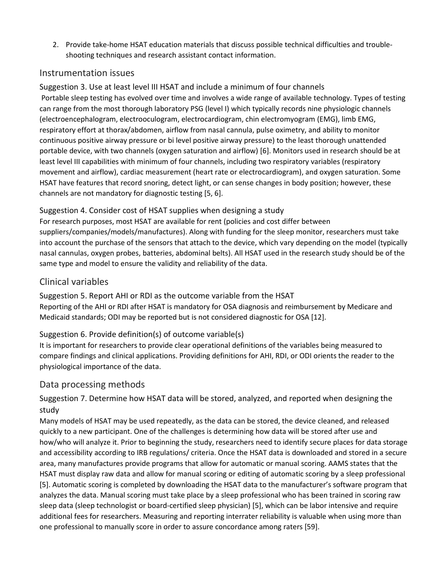2. Provide take-home HSAT education materials that discuss possible technical difficulties and troubleshooting techniques and research assistant contact information.

#### Instrumentation issues

Suggestion 3. Use at least level III HSAT and include a minimum of four channels Portable sleep testing has evolved over time and involves a wide range of available technology. Types of testing can range from the most thorough laboratory PSG (level I) which typically records nine physiologic channels (electroencephalogram, electrooculogram, electrocardiogram, chin electromyogram (EMG), limb EMG, respiratory effort at thorax/abdomen, airflow from nasal cannula, pulse oximetry, and ability to monitor continuous positive airway pressure or bi level positive airway pressure) to the least thorough unattended portable device, with two channels (oxygen saturation and airflow) [6]. Monitors used in research should be at least level III capabilities with minimum of four channels, including two respiratory variables (respiratory movement and airflow), cardiac measurement (heart rate or electrocardiogram), and oxygen saturation. Some HSAT have features that record snoring, detect light, or can sense changes in body position; however, these channels are not mandatory for diagnostic testing [5, 6].

#### Suggestion 4. Consider cost of HSAT supplies when designing a study

For research purposes, most HSAT are available for rent (policies and cost differ between suppliers/companies/models/manufactures). Along with funding for the sleep monitor, researchers must take into account the purchase of the sensors that attach to the device, which vary depending on the model (typically nasal cannulas, oxygen probes, batteries, abdominal belts). All HSAT used in the research study should be of the same type and model to ensure the validity and reliability of the data.

# Clinical variables

Suggestion 5. Report AHI or RDI as the outcome variable from the HSAT Reporting of the AHI or RDI after HSAT is mandatory for OSA diagnosis and reimbursement by Medicare and Medicaid standards; ODI may be reported but is not considered diagnostic for OSA [12].

## Suggestion 6. Provide definition(s) of outcome variable(s)

It is important for researchers to provide clear operational definitions of the variables being measured to compare findings and clinical applications. Providing definitions for AHI, RDI, or ODI orients the reader to the physiological importance of the data.

## Data processing methods

Suggestion 7. Determine how HSAT data will be stored, analyzed, and reported when designing the study

Many models of HSAT may be used repeatedly, as the data can be stored, the device cleaned, and released quickly to a new participant. One of the challenges is determining how data will be stored after use and how/who will analyze it. Prior to beginning the study, researchers need to identify secure places for data storage and accessibility according to IRB regulations/ criteria. Once the HSAT data is downloaded and stored in a secure area, many manufactures provide programs that allow for automatic or manual scoring. AAMS states that the HSAT must display raw data and allow for manual scoring or editing of automatic scoring by a sleep professional [5]. Automatic scoring is completed by downloading the HSAT data to the manufacturer's software program that analyzes the data. Manual scoring must take place by a sleep professional who has been trained in scoring raw sleep data (sleep technologist or board-certified sleep physician) [5], which can be labor intensive and require additional fees for researchers. Measuring and reporting interrater reliability is valuable when using more than one professional to manually score in order to assure concordance among raters [59].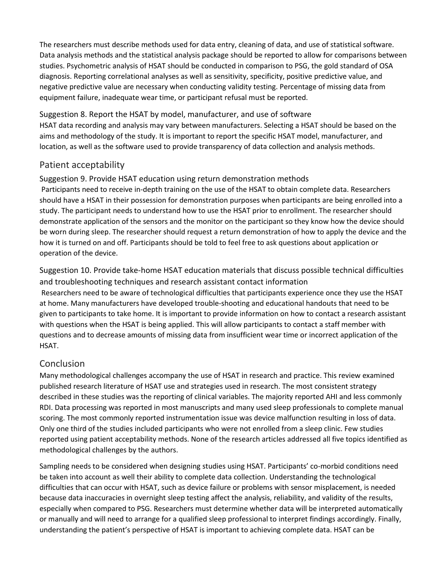The researchers must describe methods used for data entry, cleaning of data, and use of statistical software. Data analysis methods and the statistical analysis package should be reported to allow for comparisons between studies. Psychometric analysis of HSAT should be conducted in comparison to PSG, the gold standard of OSA diagnosis. Reporting correlational analyses as well as sensitivity, specificity, positive predictive value, and negative predictive value are necessary when conducting validity testing. Percentage of missing data from equipment failure, inadequate wear time, or participant refusal must be reported.

Suggestion 8. Report the HSAT by model, manufacturer, and use of software HSAT data recording and analysis may vary between manufacturers. Selecting a HSAT should be based on the aims and methodology of the study. It is important to report the specific HSAT model, manufacturer, and location, as well as the software used to provide transparency of data collection and analysis methods.

# Patient acceptability

#### Suggestion 9. Provide HSAT education using return demonstration methods

Participants need to receive in-depth training on the use of the HSAT to obtain complete data. Researchers should have a HSAT in their possession for demonstration purposes when participants are being enrolled into a study. The participant needs to understand how to use the HSAT prior to enrollment. The researcher should demonstrate application of the sensors and the monitor on the participant so they know how the device should be worn during sleep. The researcher should request a return demonstration of how to apply the device and the how it is turned on and off. Participants should be told to feel free to ask questions about application or operation of the device.

Suggestion 10. Provide take-home HSAT education materials that discuss possible technical difficulties and troubleshooting techniques and research assistant contact information

Researchers need to be aware of technological difficulties that participants experience once they use the HSAT at home. Many manufacturers have developed trouble-shooting and educational handouts that need to be given to participants to take home. It is important to provide information on how to contact a research assistant with questions when the HSAT is being applied. This will allow participants to contact a staff member with questions and to decrease amounts of missing data from insufficient wear time or incorrect application of the HSAT.

## Conclusion

Many methodological challenges accompany the use of HSAT in research and practice. This review examined published research literature of HSAT use and strategies used in research. The most consistent strategy described in these studies was the reporting of clinical variables. The majority reported AHI and less commonly RDI. Data processing was reported in most manuscripts and many used sleep professionals to complete manual scoring. The most commonly reported instrumentation issue was device malfunction resulting in loss of data. Only one third of the studies included participants who were not enrolled from a sleep clinic. Few studies reported using patient acceptability methods. None of the research articles addressed all five topics identified as methodological challenges by the authors.

Sampling needs to be considered when designing studies using HSAT. Participants' co-morbid conditions need be taken into account as well their ability to complete data collection. Understanding the technological difficulties that can occur with HSAT, such as device failure or problems with sensor misplacement, is needed because data inaccuracies in overnight sleep testing affect the analysis, reliability, and validity of the results, especially when compared to PSG. Researchers must determine whether data will be interpreted automatically or manually and will need to arrange for a qualified sleep professional to interpret findings accordingly. Finally, understanding the patient's perspective of HSAT is important to achieving complete data. HSAT can be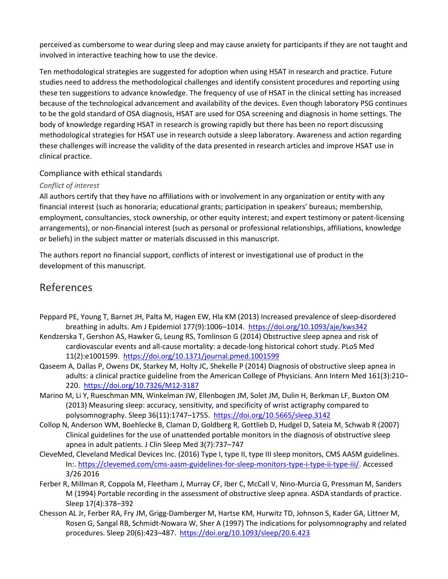perceived as cumbersome to wear during sleep and may cause anxiety for participants if they are not taught and involved in interactive teaching how to use the device.

Ten methodological strategies are suggested for adoption when using HSAT in research and practice. Future studies need to address the methodological challenges and identify consistent procedures and reporting using these ten suggestions to advance knowledge. The frequency of use of HSAT in the clinical setting has increased because of the technological advancement and availability of the devices. Even though laboratory PSG continues to be the gold standard of OSA diagnosis, HSAT are used for OSA screening and diagnosis in home settings. The body of knowledge regarding HSAT in research is growing rapidly but there has been no report discussing methodological strategies for HSAT use in research outside a sleep laboratory. Awareness and action regarding these challenges will increase the validity of the data presented in research articles and improve HSAT use in clinical practice.

#### Compliance with ethical standards

#### *Conflict of interest*

All authors certify that they have no affiliations with or involvement in any organization or entity with any financial interest (such as honoraria; educational grants; participation in speakers' bureaus; membership, employment, consultancies, stock ownership, or other equity interest; and expert testimony or patent-licensing arrangements), or non-financial interest (such as personal or professional relationships, affiliations, knowledge or beliefs) in the subject matter or materials discussed in this manuscript.

The authors report no financial support, conflicts of interest or investigational use of product in the development of this manuscript.

# References

- Peppard PE, Young T, Barnet JH, Palta M, Hagen EW, Hla KM (2013) Increased prevalence of sleep-disordered breathing in adults. Am J Epidemiol 177(9):1006–1014. <https://doi.org/10.1093/aje/kws342>
- Kendzerska T, Gershon AS, Hawker G, Leung RS, Tomlinson G (2014) Obstructive sleep apnea and risk of cardiovascular events and all-cause mortality: a decade-long historical cohort study. PLoS Med 11(2):e1001599. <https://doi.org/10.1371/journal.pmed.1001599>
- Qaseem A, Dallas P, Owens DK, Starkey M, Holty JC, Shekelle P (2014) Diagnosis of obstructive sleep apnea in adults: a clinical practice guideline from the American College of Physicians. Ann Intern Med 161(3):210– 220. <https://doi.org/10.7326/M12-3187>
- Marino M, Li Y, Rueschman MN, Winkelman JW, Ellenbogen JM, Solet JM, Dulin H, Berkman LF, Buxton OM (2013) Measuring sleep: accuracy, sensitivity, and specificity of wrist actigraphy compared to polysomnography. Sleep 36(11):1747-1755. <https://doi.org/10.5665/sleep.3142>
- Collop N, Anderson WM, Boehlecke B, Claman D, Goldberg R, Gottlieb D, Hudgel D, Sateia M, Schwab R (2007) Clinical guidelines for the use of unattended portable monitors in the diagnosis of obstructive sleep apnea in adult patients. J Clin Sleep Med 3(7):737–747
- CleveMed, Cleveland Medical Devices Inc. (2016) Type I, type II, type III sleep monitors, CMS AASM guidelines. In:. [https://clevemed.com/cms-aasm-guidelines-for-sleep-monitors-type-i-type-ii-type-iii/.](https://clevemed.com/cms-aasm-guidelines-for-sleep-monitors-type-i-type-ii-type-iii/) Accessed 3/26 2016
- Ferber R, Millman R, Coppola M, Fleetham J, Murray CF, Iber C, McCall V, Nino-Murcia G, Pressman M, Sanders M (1994) Portable recording in the assessment of obstructive sleep apnea. ASDA standards of practice. Sleep 17(4):378–392
- Chesson AL Jr, Ferber RA, Fry JM, Grigg-Damberger M, Hartse KM, Hurwitz TD, Johnson S, Kader GA, Littner M, Rosen G, Sangal RB, Schmidt-Nowara W, Sher A (1997) The indications for polysomnography and related procedures. Sleep 20(6):423-487. <https://doi.org/10.1093/sleep/20.6.423>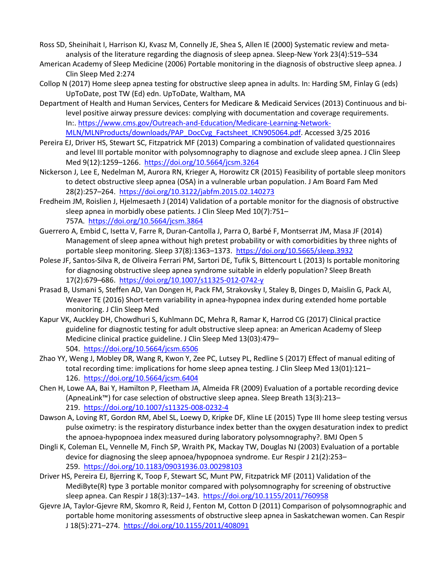- Ross SD, Sheinihait I, Harrison KJ, Kvasz M, Connelly JE, Shea S, Allen IE (2000) Systematic review and metaanalysis of the literature regarding the diagnosis of sleep apnea. Sleep-New York 23(4):519–534
- American Academy of Sleep Medicine (2006) Portable monitoring in the diagnosis of obstructive sleep apnea. J Clin Sleep Med 2:274
- Collop N (2017) Home sleep apnea testing for obstructive sleep apnea in adults. In: Harding SM, Finlay G (eds) UpToDate, post TW (Ed) edn. UpToDate, Waltham, MA
- Department of Health and Human Services, Centers for Medicare & Medicaid Services (2013) Continuous and bilevel positive airway pressure devices: complying with documentation and coverage requirements. In:. [https://www.cms.gov/Outreach-and-Education/Medicare-Learning-Network-](https://www.cms.gov/Outreach-and-Education/Medicare-Learning-Network-MLN/MLNProducts/downloads/PAP_DocCvg_Factsheet_ICN905064.pdf)[MLN/MLNProducts/downloads/PAP\\_DocCvg\\_Factsheet\\_ICN905064.pdf.](https://www.cms.gov/Outreach-and-Education/Medicare-Learning-Network-MLN/MLNProducts/downloads/PAP_DocCvg_Factsheet_ICN905064.pdf) Accessed 3/25 2016
- Pereira EJ, Driver HS, Stewart SC, Fitzpatrick MF (2013) Comparing a combination of validated questionnaires and level III portable monitor with polysomnography to diagnose and exclude sleep apnea. J Clin Sleep Med 9(12):1259–1266. <https://doi.org/10.5664/jcsm.3264>
- Nickerson J, Lee E, Nedelman M, Aurora RN, Krieger A, Horowitz CR (2015) Feasibility of portable sleep monitors to detect obstructive sleep apnea (OSA) in a vulnerable urban population. J Am Board Fam Med 28(2):257–264. <https://doi.org/10.3122/jabfm.2015.02.140273>
- Fredheim JM, Roislien J, Hjelmesaeth J (2014) Validation of a portable monitor for the diagnosis of obstructive sleep apnea in morbidly obese patients. J Clin Sleep Med 10(7):751– 757A. <https://doi.org/10.5664/jcsm.3864>
- Guerrero A, Embid C, Isetta V, Farre R, Duran-Cantolla J, Parra O, Barbé F, Montserrat JM, Masa JF (2014) Management of sleep apnea without high pretest probability or with comorbidities by three nights of portable sleep monitoring. Sleep 37(8):1363–1373. <https://doi.org/10.5665/sleep.3932>
- Polese JF, Santos-Silva R, de Oliveira Ferrari PM, Sartori DE, Tufik S, Bittencourt L (2013) Is portable monitoring for diagnosing obstructive sleep apnea syndrome suitable in elderly population? Sleep Breath 17(2):679–686. <https://doi.org/10.1007/s11325-012-0742-y>
- Prasad B, Usmani S, Steffen AD, Van Dongen H, Pack FM, Strakovsky I, Staley B, Dinges D, Maislin G, Pack AI, Weaver TE (2016) Short-term variability in apnea-hypopnea index during extended home portable monitoring. J Clin Sleep Med
- Kapur VK, Auckley DH, Chowdhuri S, Kuhlmann DC, Mehra R, Ramar K, Harrod CG (2017) Clinical practice guideline for diagnostic testing for adult obstructive sleep apnea: an American Academy of Sleep Medicine clinical practice guideline. J Clin Sleep Med 13(03):479– 504. <https://doi.org/10.5664/jcsm.6506>
- Zhao YY, Weng J, Mobley DR, Wang R, Kwon Y, Zee PC, Lutsey PL, Redline S (2017) Effect of manual editing of total recording time: implications for home sleep apnea testing. J Clin Sleep Med 13(01):121– 126. <https://doi.org/10.5664/jcsm.6404>
- Chen H, Lowe AA, Bai Y, Hamilton P, Fleetham JA, Almeida FR (2009) Evaluation of a portable recording device (ApneaLink™) for case selection of obstructive sleep apnea. Sleep Breath 13(3):213– 219. <https://doi.org/10.1007/s11325-008-0232-4>
- Dawson A, Loving RT, Gordon RM, Abel SL, Loewy D, Kripke DF, Kline LE (2015) Type III home sleep testing versus pulse oximetry: is the respiratory disturbance index better than the oxygen desaturation index to predict the apnoea-hypopnoea index measured during laboratory polysomnography?. BMJ Open 5
- Dingli K, Coleman EL, Vennelle M, Finch SP, Wraith PK, Mackay TW, Douglas NJ (2003) Evaluation of a portable device for diagnosing the sleep apnoea/hypopnoea syndrome. Eur Respir J 21(2):253– 259. <https://doi.org/10.1183/09031936.03.00298103>
- Driver HS, Pereira EJ, Bjerring K, Toop F, Stewart SC, Munt PW, Fitzpatrick MF (2011) Validation of the MediByte(R) type 3 portable monitor compared with polysomnography for screening of obstructive sleep apnea. Can Respir J 18(3):137–143. <https://doi.org/10.1155/2011/760958>
- Gjevre JA, Taylor-Gjevre RM, Skomro R, Reid J, Fenton M, Cotton D (2011) Comparison of polysomnographic and portable home monitoring assessments of obstructive sleep apnea in Saskatchewan women. Can Respir J 18(5):271–274. <https://doi.org/10.1155/2011/408091>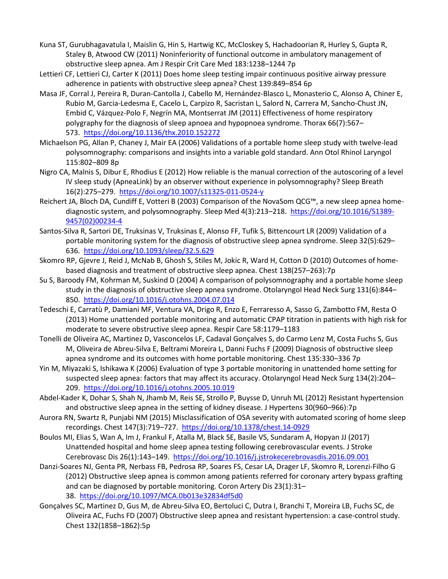- Kuna ST, Gurubhagavatula I, Maislin G, Hin S, Hartwig KC, McCloskey S, Hachadoorian R, Hurley S, Gupta R, Staley B, Atwood CW (2011) Noninferiority of functional outcome in ambulatory management of obstructive sleep apnea. Am J Respir Crit Care Med 183:1238–1244 7p
- Lettieri CF, Lettieri CJ, Carter K (2011) Does home sleep testing impair continuous positive airway pressure adherence in patients with obstructive sleep apnea? Chest 139:849–854 6p
- Masa JF, Corral J, Pereira R, Duran-Cantolla J, Cabello M, Hernández-Blasco L, Monasterio C, Alonso A, Chiner E, Rubio M, Garcia-Ledesma E, Cacelo L, Carpizo R, Sacristan L, Salord N, Carrera M, Sancho-Chust JN, Embid C, Vázquez-Polo F, Negrín MA, Montserrat JM (2011) Effectiveness of home respiratory polygraphy for the diagnosis of sleep apnoea and hypopnoea syndrome. Thorax 66(7):567– 573. <https://doi.org/10.1136/thx.2010.152272>
- Michaelson PG, Allan P, Chaney J, Mair EA (2006) Validations of a portable home sleep study with twelve-lead polysomnography: comparisons and insights into a variable gold standard. Ann Otol Rhinol Laryngol 115:802–809 8p
- Nigro CA, Malnis S, Dibur E, Rhodius E (2012) How reliable is the manual correction of the autoscoring of a level IV sleep study (ApneaLink) by an observer without experience in polysomnography? Sleep Breath 16(2):275–279. <https://doi.org/10.1007/s11325-011-0524-y>
- Reichert JA, Bloch DA, Cundiff E, Votteri B (2003) Comparison of the NovaSom QCG™, a new sleep apnea homediagnostic system, and polysomnography. Sleep Med 4(3):213–218. [https://doi.org/10.1016/S1389-](https://doi.org/10.1016/S1389-9457(02)00234-4) [9457\(02\)00234-4](https://doi.org/10.1016/S1389-9457(02)00234-4)
- Santos-Silva R, Sartori DE, Truksinas V, Truksinas E, Alonso FF, Tufik S, Bittencourt LR (2009) Validation of a portable monitoring system for the diagnosis of obstructive sleep apnea syndrome. Sleep 32(5):629– 636. <https://doi.org/10.1093/sleep/32.5.629>
- Skomro RP, Gjevre J, Reid J, McNab B, Ghosh S, Stiles M, Jokic R, Ward H, Cotton D (2010) Outcomes of homebased diagnosis and treatment of obstructive sleep apnea. Chest 138(257–263):7p
- Su S, Baroody FM, Kohrman M, Suskind D (2004) A comparison of polysomnography and a portable home sleep study in the diagnosis of obstructive sleep apnea syndrome. Otolaryngol Head Neck Surg 131(6):844– 850. <https://doi.org/10.1016/j.otohns.2004.07.014>
- Tedeschi E, Carratù P, Damiani MF, Ventura VA, Drigo R, Enzo E, Ferraresso A, Sasso G, Zambotto FM, Resta O (2013) Home unattended portable monitoring and automatic CPAP titration in patients with high risk for moderate to severe obstructive sleep apnea. Respir Care 58:1179–1183
- Tonelli de Oliveira AC, Martinez D, Vasconcelos LF, Cadaval Gonçalves S, do Carmo Lenz M, Costa Fuchs S, Gus M, Oliveira de Abreu-Silva E, Beltrami Moreira L, Danni Fuchs F (2009) Diagnosis of obstructive sleep apnea syndrome and its outcomes with home portable monitoring. Chest 135:330–336 7p
- Yin M, Miyazaki S, Ishikawa K (2006) Evaluation of type 3 portable monitoring in unattended home setting for suspected sleep apnea: factors that may affect its accuracy. Otolaryngol Head Neck Surg 134(2):204– 209. <https://doi.org/10.1016/j.otohns.2005.10.019>
- Abdel-Kader K, Dohar S, Shah N, Jhamb M, Reis SE, Strollo P, Buysse D, Unruh ML (2012) Resistant hypertension and obstructive sleep apnea in the setting of kidney disease. J Hypertens 30(960–966):7p
- Aurora RN, Swartz R, Punjabi NM (2015) Misclassification of OSA severity with automated scoring of home sleep recordings. Chest 147(3):719-727. <https://doi.org/10.1378/chest.14-0929>
- Boulos MI, Elias S, Wan A, Im J, Frankul F, Atalla M, Black SE, Basile VS, Sundaram A, Hopyan JJ (2017) Unattended hospital and home sleep apnea testing following cerebrovascular events. J Stroke Cerebrovasc Dis 26(1):143–149. <https://doi.org/10.1016/j.jstrokecerebrovasdis.2016.09.001>
- Danzi-Soares NJ, Genta PR, Nerbass FB, Pedrosa RP, Soares FS, Cesar LA, Drager LF, Skomro R, Lorenzi-Filho G (2012) Obstructive sleep apnea is common among patients referred for coronary artery bypass grafting and can be diagnosed by portable monitoring. Coron Artery Dis 23(1):31– 38. <https://doi.org/10.1097/MCA.0b013e32834df5d0>
- Gonçalves SC, Martinez D, Gus M, de Abreu-Silva EO, Bertoluci C, Dutra I, Branchi T, Moreira LB, Fuchs SC, de Oliveira AC, Fuchs FD (2007) Obstructive sleep apnea and resistant hypertension: a case-control study. Chest 132(1858–1862):5p